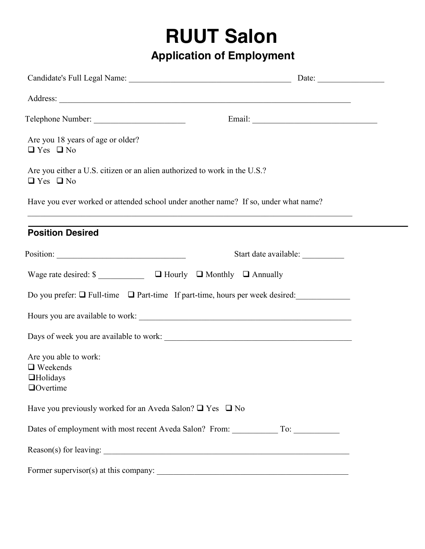# **RUUT Salon**

## **Application of Employment**

|                                                                                                   | Date: $\frac{1}{\sqrt{1-\frac{1}{2}} \cdot \frac{1}{2}}$                                                              |
|---------------------------------------------------------------------------------------------------|-----------------------------------------------------------------------------------------------------------------------|
|                                                                                                   |                                                                                                                       |
|                                                                                                   |                                                                                                                       |
| Are you 18 years of age or older?<br>$\Box$ Yes $\Box$ No                                         |                                                                                                                       |
| Are you either a U.S. citizen or an alien authorized to work in the U.S.?<br>$\Box$ Yes $\Box$ No |                                                                                                                       |
| Have you ever worked or attended school under another name? If so, under what name?               |                                                                                                                       |
| <b>Position Desired</b>                                                                           |                                                                                                                       |
| $\frac{1}{1}$                                                                                     | Start date available:                                                                                                 |
|                                                                                                   |                                                                                                                       |
|                                                                                                   | Do you prefer: $\Box$ Full-time $\Box$ Part-time If part-time, hours per week desired:                                |
|                                                                                                   |                                                                                                                       |
|                                                                                                   |                                                                                                                       |
| Are you able to work:<br>$\Box$ Weekends<br>$\Box$ Holidays<br>$\Box$ Overtime                    |                                                                                                                       |
| Have you previously worked for an Aveda Salon? $\Box$ Yes $\Box$ No                               |                                                                                                                       |
|                                                                                                   |                                                                                                                       |
|                                                                                                   |                                                                                                                       |
| Former supervisor(s) at this company:                                                             | <u> 1980 - John Stein, Amerikaansk kanton en beskriuwer om de ferskeide om de ferskeide om de ferskeide om de fer</u> |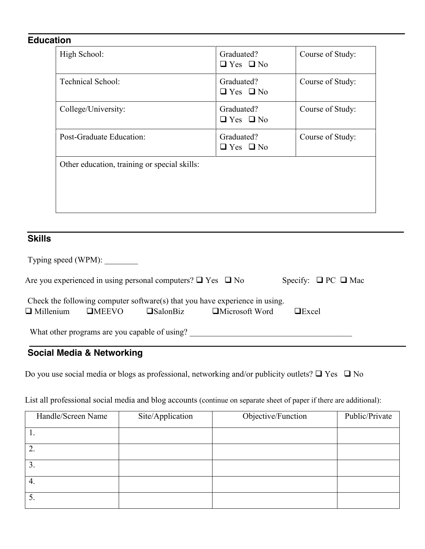#### **Education**

| High School:                                 | Graduated?<br>$\Box$ Yes $\Box$ No | Course of Study: |
|----------------------------------------------|------------------------------------|------------------|
| <b>Technical School:</b>                     | Graduated?<br>$\Box$ Yes $\Box$ No | Course of Study: |
| College/University:                          | Graduated?<br>$\Box$ Yes $\Box$ No | Course of Study: |
| Post-Graduate Education:                     | Graduated?<br>$\Box$ Yes $\Box$ No | Course of Study: |
| Other education, training or special skills: |                                    |                  |

## **Skills**

|                  | Typing speed (WPM):                           |                                                                       |                                                                                                      |                               |
|------------------|-----------------------------------------------|-----------------------------------------------------------------------|------------------------------------------------------------------------------------------------------|-------------------------------|
|                  |                                               | Are you experienced in using personal computers? $\Box$ Yes $\Box$ No |                                                                                                      | Specify: $\Box$ PC $\Box$ Mac |
| $\Box$ Millenium | $\square$ MEEVO                               | $\square$ SalonBiz                                                    | Check the following computer software(s) that you have experience in using.<br>$\Box$ Microsoft Word | $\Box$ Excel                  |
|                  | What other programs are you capable of using? |                                                                       |                                                                                                      |                               |

## **Social Media & Networking**

Do you use social media or blogs as professional, networking and/or publicity outlets?  $\Box$  Yes  $\Box$  No

List all professional social media and blog accounts (continue on separate sheet of paper if there are additional):

| Handle/Screen Name | Site/Application | Objective/Function | Public/Private |
|--------------------|------------------|--------------------|----------------|
|                    |                  |                    |                |
|                    |                  |                    |                |
|                    |                  |                    |                |
| 4.                 |                  |                    |                |
| J.                 |                  |                    |                |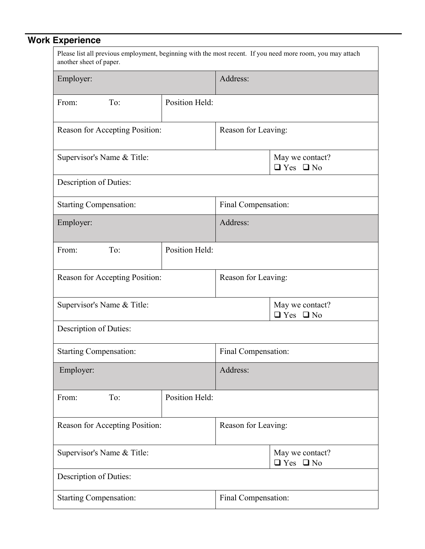# **Work Experience**

| Please list all previous employment, beginning with the most recent. If you need more room, you may attach<br>another sheet of paper. |                |                     |                                         |  |
|---------------------------------------------------------------------------------------------------------------------------------------|----------------|---------------------|-----------------------------------------|--|
| Employer:                                                                                                                             |                | Address:            |                                         |  |
| To:<br>From:                                                                                                                          | Position Held: |                     |                                         |  |
| Reason for Accepting Position:                                                                                                        |                | Reason for Leaving: |                                         |  |
| Supervisor's Name & Title:                                                                                                            |                |                     | May we contact?<br>$\Box$ Yes $\Box$ No |  |
| Description of Duties:                                                                                                                |                |                     |                                         |  |
| <b>Starting Compensation:</b>                                                                                                         |                | Final Compensation: |                                         |  |
| Employer:                                                                                                                             |                | Address:            |                                         |  |
| To:<br>From:                                                                                                                          | Position Held: |                     |                                         |  |
| Reason for Accepting Position:                                                                                                        |                | Reason for Leaving: |                                         |  |
| Supervisor's Name & Title:                                                                                                            |                |                     | May we contact?<br>$\Box$ Yes $\Box$ No |  |
| Description of Duties:                                                                                                                |                |                     |                                         |  |
| <b>Starting Compensation:</b>                                                                                                         |                | Final Compensation: |                                         |  |
| Employer:                                                                                                                             |                | Address:            |                                         |  |
| To:<br>From:                                                                                                                          | Position Held: |                     |                                         |  |
| Reason for Accepting Position:                                                                                                        |                | Reason for Leaving: |                                         |  |
| Supervisor's Name & Title:                                                                                                            |                |                     | May we contact?<br>$\Box$ Yes $\Box$ No |  |
| Description of Duties:                                                                                                                |                |                     |                                         |  |
| <b>Starting Compensation:</b>                                                                                                         |                | Final Compensation: |                                         |  |